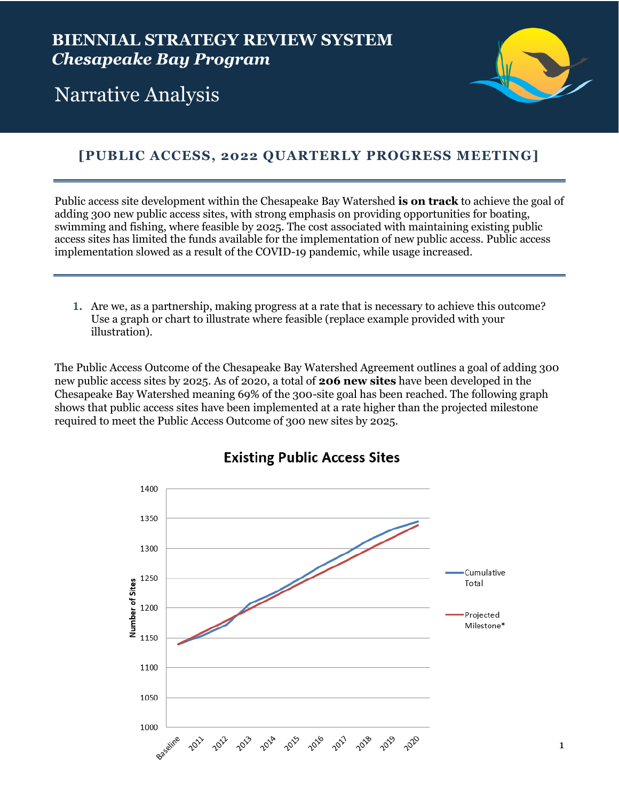

# Narrative Analysis

## **[PUBLIC ACCESS, 2022 QUARTERLY PROGRESS MEETING]**

Public access site development within the Chesapeake Bay Watershed **is on track** to achieve the goal of adding 300 new public access sites, with strong emphasis on providing opportunities for boating, swimming and fishing, where feasible by 2025. The cost associated with maintaining existing public access sites has limited the funds available for the implementation of new public access. Public access implementation slowed as a result of the COVID-19 pandemic, while usage increased.

1. Are we, as a partnership, making progress at a rate that is necessary to achieve this outcome? Use a graph or chart to illustrate where feasible (replace example provided with your illustration).

The Public Access Outcome of the Chesapeake Bay Watershed Agreement outlines a goal of adding 300 new public access sites by 2025. As of 2020, a total of **206 new sites** have been developed in the Chesapeake Bay Watershed meaning 69% of the 300-site goal has been reached. The following graph shows that public access sites have been implemented at a rate higher than the projected milestone required to meet the Public Access Outcome of 300 new sites by 2025.



### **Existing Public Access Sites**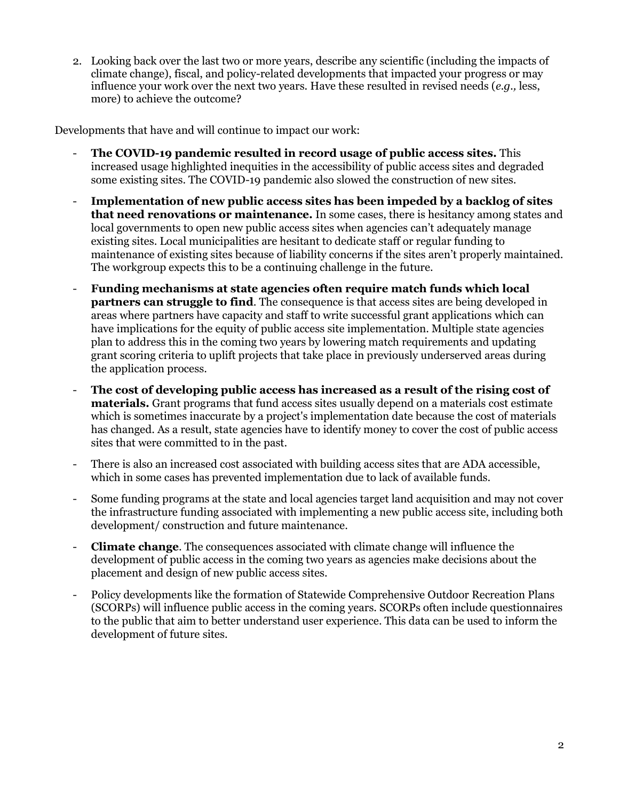2. Looking back over the last two or more years, describe any scientific (including the impacts of climate change), fiscal, and policy-related developments that impacted your progress or may influence your work over the next two years. Have these resulted in revised needs (*e.g.,* less, more) to achieve the outcome?

Developments that have and will continue to impact our work:

- **The COVID-19 pandemic resulted in record usage of public access sites.** This increased usage highlighted inequities in the accessibility of public access sites and degraded some existing sites. The COVID-19 pandemic also slowed the construction of new sites.
- **Implementation of new public access sites has been impeded by a backlog of sites that need renovations or maintenance.** In some cases, there is hesitancy among states and local governments to open new public access sites when agencies can't adequately manage existing sites. Local municipalities are hesitant to dedicate staff or regular funding to maintenance of existing sites because of liability concerns if the sites aren't properly maintained. The workgroup expects this to be a continuing challenge in the future.
- **Funding mechanisms at state agencies often require match funds which local partners can struggle to find**. The consequence is that access sites are being developed in areas where partners have capacity and staff to write successful grant applications which can have implications for the equity of public access site implementation. Multiple state agencies plan to address this in the coming two years by lowering match requirements and updating grant scoring criteria to uplift projects that take place in previously underserved areas during the application process.
- **The cost of developing public access has increased as a result of the rising cost of materials.** Grant programs that fund access sites usually depend on a materials cost estimate which is sometimes inaccurate by a project's implementation date because the cost of materials has changed. As a result, state agencies have to identify money to cover the cost of public access sites that were committed to in the past.
- There is also an increased cost associated with building access sites that are ADA accessible, which in some cases has prevented implementation due to lack of available funds.
- Some funding programs at the state and local agencies target land acquisition and may not cover the infrastructure funding associated with implementing a new public access site, including both development/ construction and future maintenance.
- **Climate change**. The consequences associated with climate change will influence the development of public access in the coming two years as agencies make decisions about the placement and design of new public access sites.
- Policy developments like the formation of Statewide Comprehensive Outdoor Recreation Plans (SCORPs) will influence public access in the coming years. SCORPs often include questionnaires to the public that aim to better understand user experience. This data can be used to inform the development of future sites.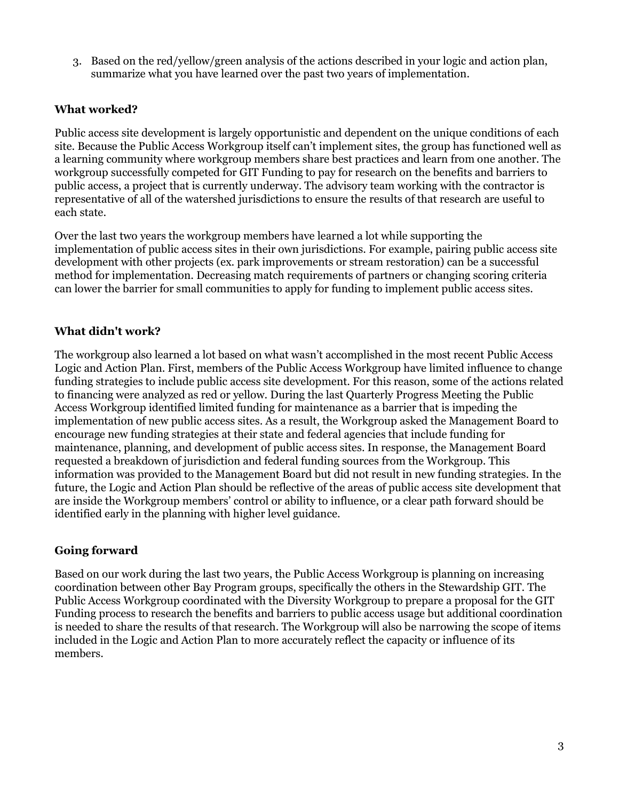3. Based on the red/yellow/green analysis of the actions described in your logic and action plan, summarize what you have learned over the past two years of implementation.

#### **What worked?**

Public access site development is largely opportunistic and dependent on the unique conditions of each site. Because the Public Access Workgroup itself can't implement sites, the group has functioned well as a learning community where workgroup members share best practices and learn from one another. The workgroup successfully competed for GIT Funding to pay for research on the benefits and barriers to public access, a project that is currently underway. The advisory team working with the contractor is representative of all of the watershed jurisdictions to ensure the results of that research are useful to each state.

Over the last two years the workgroup members have learned a lot while supporting the implementation of public access sites in their own jurisdictions. For example, pairing public access site development with other projects (ex. park improvements or stream restoration) can be a successful method for implementation. Decreasing match requirements of partners or changing scoring criteria can lower the barrier for small communities to apply for funding to implement public access sites.

#### **What didn't work?**

The workgroup also learned a lot based on what wasn't accomplished in the most recent Public Access Logic and Action Plan. First, members of the Public Access Workgroup have limited influence to change funding strategies to include public access site development. For this reason, some of the actions related to financing were analyzed as red or yellow. During the last Quarterly Progress Meeting the Public Access Workgroup identified limited funding for maintenance as a barrier that is impeding the implementation of new public access sites. As a result, the Workgroup asked the Management Board to encourage new funding strategies at their state and federal agencies that include funding for maintenance, planning, and development of public access sites. In response, the Management Board requested a breakdown of jurisdiction and federal funding sources from the Workgroup. This information was provided to the Management Board but did not result in new funding strategies. In the future, the Logic and Action Plan should be reflective of the areas of public access site development that are inside the Workgroup members' control or ability to influence, or a clear path forward should be identified early in the planning with higher level guidance.

#### **Going forward**

Based on our work during the last two years, the Public Access Workgroup is planning on increasing coordination between other Bay Program groups, specifically the others in the Stewardship GIT. The Public Access Workgroup coordinated with the Diversity Workgroup to prepare a proposal for the GIT Funding process to research the benefits and barriers to public access usage but additional coordination is needed to share the results of that research. The Workgroup will also be narrowing the scope of items included in the Logic and Action Plan to more accurately reflect the capacity or influence of its members.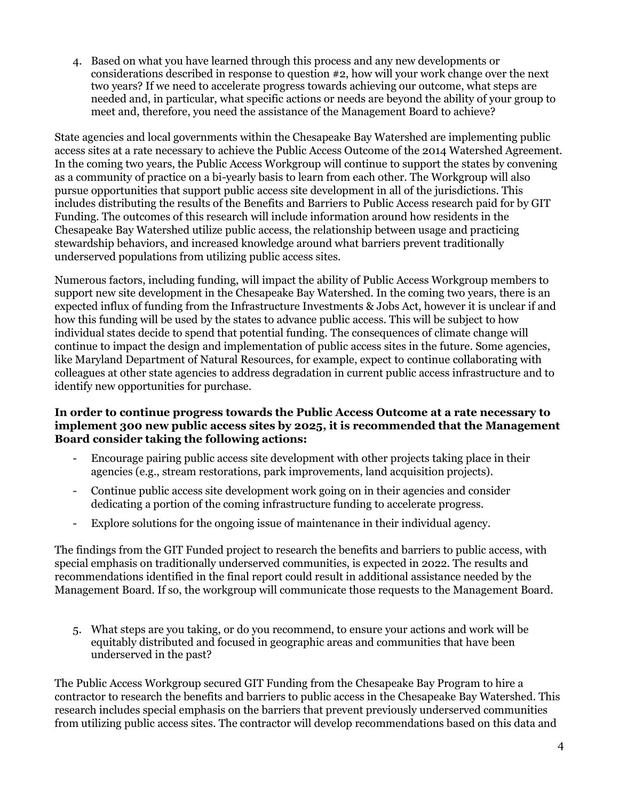4. Based on what you have learned through this process and any new developments or considerations described in response to question #2, how will your work change over the next two years? If we need to accelerate progress towards achieving our outcome, what steps are needed and, in particular, what specific actions or needs are beyond the ability of your group to meet and, therefore, you need the assistance of the Management Board to achieve?

State agencies and local governments within the Chesapeake Bay Watershed are implementing public access sites at a rate necessary to achieve the Public Access Outcome of the 2014 Watershed Agreement. In the coming two years, the Public Access Workgroup will continue to support the states by convening as a community of practice on a bi-yearly basis to learn from each other. The Workgroup will also pursue opportunities that support public access site development in all of the jurisdictions. This includes distributing the results of the Benefits and Barriers to Public Access research paid for by GIT Funding. The outcomes of this research will include information around how residents in the Chesapeake Bay Watershed utilize public access, the relationship between usage and practicing stewardship behaviors, and increased knowledge around what barriers prevent traditionally underserved populations from utilizing public access sites.

Numerous factors, including funding, will impact the ability of Public Access Workgroup members to support new site development in the Chesapeake Bay Watershed. In the coming two years, there is an expected influx of funding from the Infrastructure Investments & Jobs Act, however it is unclear if and how this funding will be used by the states to advance public access. This will be subject to how individual states decide to spend that potential funding. The consequences of climate change will continue to impact the design and implementation of public access sites in the future. Some agencies, like Maryland Department of Natural Resources, for example, expect to continue collaborating with colleagues at other state agencies to address degradation in current public access infrastructure and to identify new opportunities for purchase.

#### **In order to continue progress towards the Public Access Outcome at a rate necessary to implement 300 new public access sites by 2025, it is recommended that the Management Board consider taking the following actions:**

- Encourage pairing public access site development with other projects taking place in their agencies (e.g., stream restorations, park improvements, land acquisition projects).
- Continue public access site development work going on in their agencies and consider dedicating a portion of the coming infrastructure funding to accelerate progress.
- Explore solutions for the ongoing issue of maintenance in their individual agency.

The findings from the GIT Funded project to research the benefits and barriers to public access, with special emphasis on traditionally underserved communities, is expected in 2022. The results and recommendations identified in the final report could result in additional assistance needed by the Management Board. If so, the workgroup will communicate those requests to the Management Board.

5. What steps are you taking, or do you recommend, to ensure your actions and work will be equitably distributed and focused in geographic areas and communities that have been underserved in the past?

The Public Access Workgroup secured GIT Funding from the Chesapeake Bay Program to hire a contractor to research the benefits and barriers to public access in the Chesapeake Bay Watershed. This research includes special emphasis on the barriers that prevent previously underserved communities from utilizing public access sites. The contractor will develop recommendations based on this data and